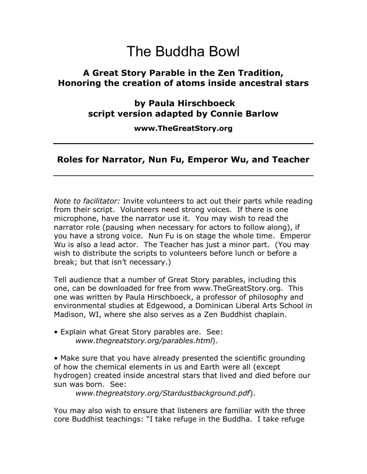#### **A Great Story Parable in the Zen Tradition, Honoring the creation of atoms inside ancestral stars**

 **by Paula Hirschboeck script version adapted by Connie Barlow** 

**www.TheGreatStory.org** 

#### **Roles for Narrator, Nun Fu, Emperor Wu, and Teacher**

*Note to facilitator:* Invite volunteers to act out their parts while reading from their script. Volunteers need strong voices. If there is one microphone, have the narrator use it. You may wish to read the narrator role (pausing when necessary for actors to follow along), if you have a strong voice. Nun Fu is on stage the whole time. Emperor Wu is also a lead actor. The Teacher has just a minor part. (You may wish to distribute the scripts to volunteers before lunch or before a break; but that isn't necessary.)

Tell audience that a number of Great Story parables, including this one, can be downloaded for free from www.TheGreatStory.org. This one was written by Paula Hirschboeck, a professor of philosophy and environmental studies at Edgewood, a Dominican Liberal Arts School in Madison, WI, where she also serves as a Zen Buddhist chaplain.

• Explain what Great Story parables are. See: *www.thegreatstory.org/parables.html*).

• Make sure that you have already presented the scientific grounding of how the chemical elements in us and Earth were all (except hydrogen) created inside ancestral stars that lived and died before our sun was born. See:

*www.thegreatstory.org/Stardustbackground.pdf*).

You may also wish to ensure that listeners are familiar with the three core Buddhist teachings: "I take refuge in the Buddha. I take refuge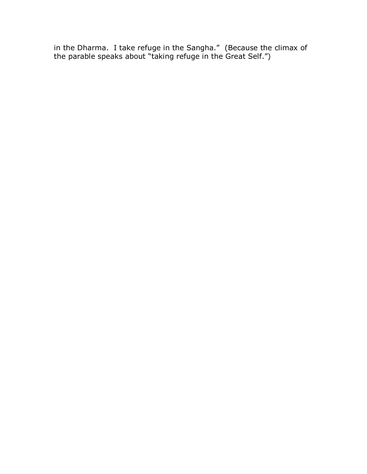in the Dharma. I take refuge in the Sangha." (Because the climax of the parable speaks about "taking refuge in the Great Self.")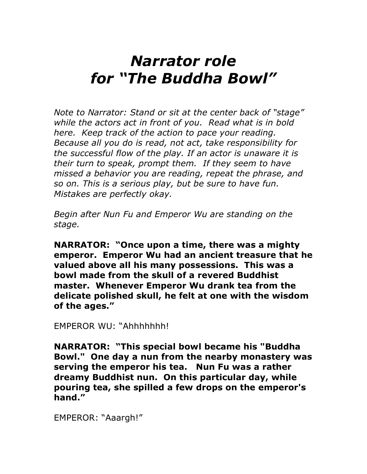# *Narrator role*  for "The Buddha Bowl"

*Note to Narrator: Stand or sit at the center back of "stage" while the actors act in front of you. Read what is in bold here. Keep track of the action to pace your reading. Because all you do is read, not act, take responsibility for the successful flow of the play. If an actor is unaware it is their turn to speak, prompt them. If they seem to have missed a behavior you are reading, repeat the phrase, and so on. This is a serious play, but be sure to have fun. Mistakes are perfectly okay.* 

*Begin after Nun Fu and Emperor Wu are standing on the stage.* 

**NARRATOR: "Once upon a time, there was a mighty emperor. Emperor Wu had an ancient treasure that he valued above all his many possessions. This was a bowl made from the skull of a revered Buddhist master. Whenever Emperor Wu drank tea from the delicate polished skull, he felt at one with the wisdom**  of the ages.<sup>"</sup>

EMPEROR WU: "Ahhhhhhh!

**NARRATOR: "This special bowl became his "Buddha Bowl." One day a nun from the nearby monastery was serving the emperor his tea. Nun Fu was a rather dreamy Buddhist nun. On this particular day, while pouring tea, she spilled a few drops on the emperor's**  hand."

EMPEROR: "Aaargh!"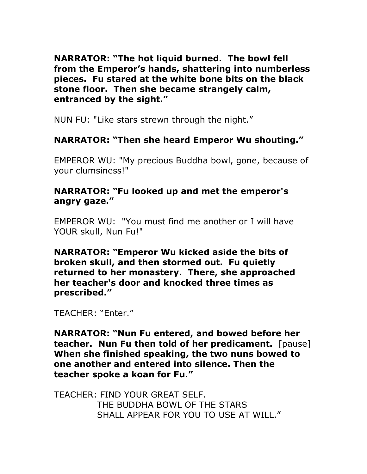**NARRATOR: "The hot liquid burned. The bowl fell from the Emperorís hands, shattering into numberless pieces. Fu stared at the white bone bits on the black stone floor. Then she became strangely calm, entranced by the sight."** 

NUN FU: "Like stars strewn through the night."

#### **NARRATOR: "Then she heard Emperor Wu shouting."**

EMPEROR WU: "My precious Buddha bowl, gone, because of your clumsiness!"

#### **NARRATOR: "Fu looked up and met the emperor's** angry gaze."

EMPEROR WU: "You must find me another or I will have YOUR skull, Nun Fu!"

**NARRATOR: "Emperor Wu kicked aside the bits of broken skull, and then stormed out. Fu quietly returned to her monastery. There, she approached her teacher's door and knocked three times as prescribed.î** 

TEACHER: "Enter."

**NARRATOR: "Nun Fu entered, and bowed before her teacher. Nun Fu then told of her predicament.** [pause] **When she finished speaking, the two nuns bowed to one another and entered into silence. Then the teacher spoke a koan for Fu.î** 

TEACHER: FIND YOUR GREAT SELF. THE BUDDHA BOWL OF THE STARS SHALL APPEAR FOR YOU TO USE AT WILL."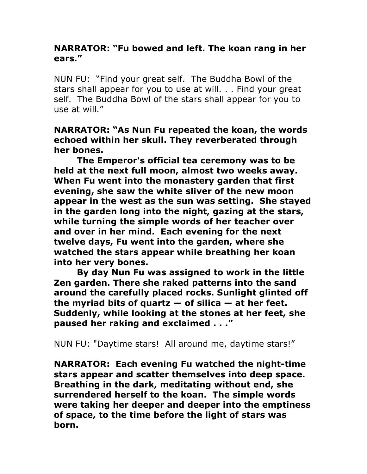#### **NARRATOR: "Fu bowed and left. The koan rang in her ears.î**

NUN FU: "Find your great self. The Buddha Bowl of the stars shall appear for you to use at will. . . Find your great self. The Buddha Bowl of the stars shall appear for you to use at will."

**NARRATOR: "As Nun Fu repeated the koan, the words echoed within her skull. They reverberated through her bones.** 

 **The Emperor's official tea ceremony was to be held at the next full moon, almost two weeks away. When Fu went into the monastery garden that first evening, she saw the white sliver of the new moon appear in the west as the sun was setting. She stayed in the garden long into the night, gazing at the stars, while turning the simple words of her teacher over and over in her mind. Each evening for the next twelve days, Fu went into the garden, where she watched the stars appear while breathing her koan into her very bones.** 

 **By day Nun Fu was assigned to work in the little Zen garden. There she raked patterns into the sand around the carefully placed rocks. Sunlight glinted off**  the myriad bits of quartz  $-$  of silica  $-$  at her feet. **Suddenly, while looking at the stones at her feet, she paused her raking and exclaimed ..."** 

NUN FU: "Daytime stars! All around me, daytime stars!"

**NARRATOR: Each evening Fu watched the night-time stars appear and scatter themselves into deep space. Breathing in the dark, meditating without end, she surrendered herself to the koan. The simple words were taking her deeper and deeper into the emptiness of space, to the time before the light of stars was born.**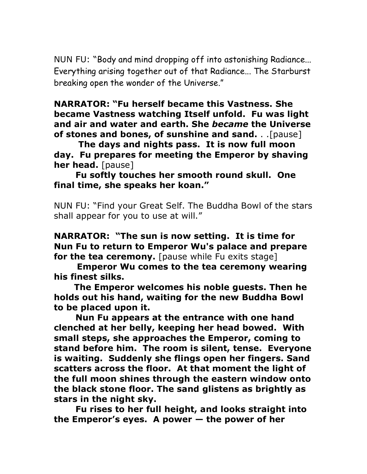NUN FU: "Body and mind dropping off into astonishing Radiance... Everything arising together out of that Radiance... The Starburst breaking open the wonder of the Universe."

#### **NARRATOR: "Fu herself became this Vastness. She became Vastness watching Itself unfold. Fu was light and air and water and earth. She** *became* **the Universe of stones and bones, of sunshine and sand.** . .[pause]

**The days and nights pass. It is now full moon day. Fu prepares for meeting the Emperor by shaving her head.** [pause]

**Fu softly touches her smooth round skull. One final time, she speaks her koan.î**

NUN FU: "Find your Great Self. The Buddha Bowl of the stars shall appear for you to use at will."

**NARRATOR: "The sun is now setting. It is time for Nun Fu to return to Emperor Wu's palace and prepare for the tea ceremony.** [pause while Fu exits stage]

 **Emperor Wu comes to the tea ceremony wearing his finest silks.** 

 **The Emperor welcomes his noble guests. Then he holds out his hand, waiting for the new Buddha Bowl to be placed upon it.** 

**Nun Fu appears at the entrance with one hand clenched at her belly, keeping her head bowed. With small steps, she approaches the Emperor, coming to stand before him. The room is silent, tense. Everyone is waiting. Suddenly she flings open her fingers. Sand scatters across the floor. At that moment the light of the full moon shines through the eastern window onto the black stone floor. The sand glistens as brightly as stars in the night sky.** 

**Fu rises to her full height, and looks straight into**  the Emperor's eyes. A power  $-$  the power of her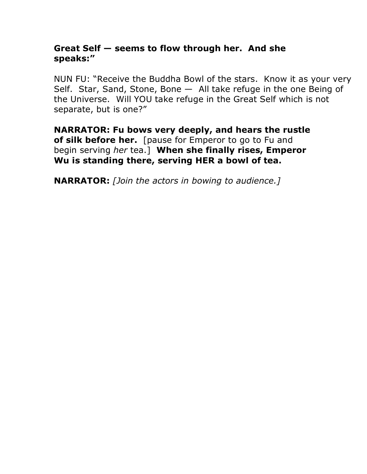#### Great Self – seems to flow through her. And she speaks:"

NUN FU: "Receive the Buddha Bowl of the stars. Know it as your very Self. Star, Sand, Stone, Bone  $-$  All take refuge in the one Being of the Universe. Will YOU take refuge in the Great Self which is not separate, but is one?"

**NARRATOR: Fu bows very deeply, and hears the rustle of silk before her.** [pause for Emperor to go to Fu and begin serving *her* tea.] **When she finally rises, Emperor Wu is standing there, serving HER a bowl of tea.** 

**NARRATOR:** *[Join the actors in bowing to audience.]*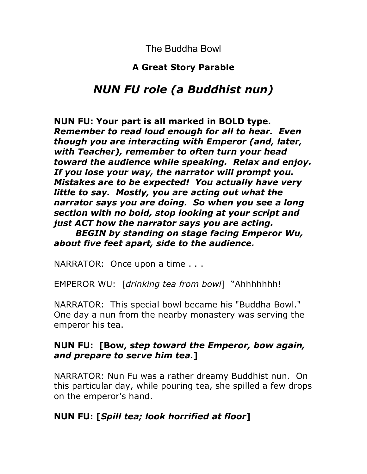## **A Great Story Parable**

## *NUN FU role (a Buddhist nun)*

**NUN FU: Your part is all marked in BOLD type.**  *Remember to read loud enough for all to hear. Even though you are interacting with Emperor (and, later, with Teacher), remember to often turn your head toward the audience while speaking. Relax and enjoy. If you lose your way, the narrator will prompt you. Mistakes are to be expected! You actually have very little to say. Mostly, you are acting out what the narrator says you are doing. So when you see a long section with no bold, stop looking at your script and just ACT how the narrator says you are acting.* 

*BEGIN by standing on stage facing Emperor Wu, about five feet apart, side to the audience.*

NARRATOR: Once upon a time . . .

EMPEROR WU: [drinking tea from bowl] "Ahhhhhhh!

NARRATOR: This special bowl became his "Buddha Bowl." One day a nun from the nearby monastery was serving the emperor his tea.

## **NUN FU: [Bow, s***tep toward the Emperor, bow again, and prepare to serve him tea.***]**

NARRATOR: Nun Fu was a rather dreamy Buddhist nun. On this particular day, while pouring tea, she spilled a few drops on the emperor's hand.

## **NUN FU: [***Spill tea; look horrified at floor***]**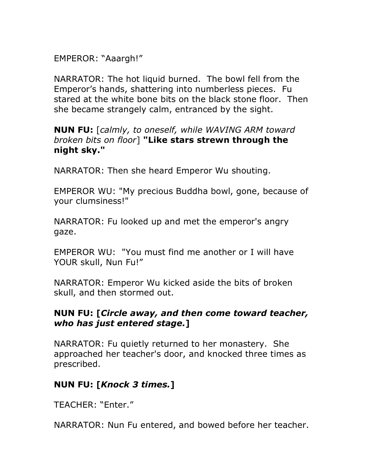EMPEROR: "Aaargh!"

NARRATOR: The hot liquid burned. The bowl fell from the Emperorís hands, shattering into numberless pieces. Fu stared at the white bone bits on the black stone floor. Then she became strangely calm, entranced by the sight.

**NUN FU:** [*calmly, to oneself, while WAVING ARM toward broken bits on floor*] **"Like stars strewn through the night sky."**

NARRATOR: Then she heard Emperor Wu shouting.

EMPEROR WU: "My precious Buddha bowl, gone, because of your clumsiness!"

NARRATOR: Fu looked up and met the emperor's angry gaze.

EMPEROR WU: "You must find me another or I will have YOUR skull, Nun Fu!"

NARRATOR: Emperor Wu kicked aside the bits of broken skull, and then stormed out.

## **NUN FU: [***Circle away, and then come toward teacher, who has just entered stage.***]**

NARRATOR: Fu quietly returned to her monastery. She approached her teacher's door, and knocked three times as prescribed.

## **NUN FU: [***Knock 3 times.***]**

TFACHFR: "Fnter."

NARRATOR: Nun Fu entered, and bowed before her teacher.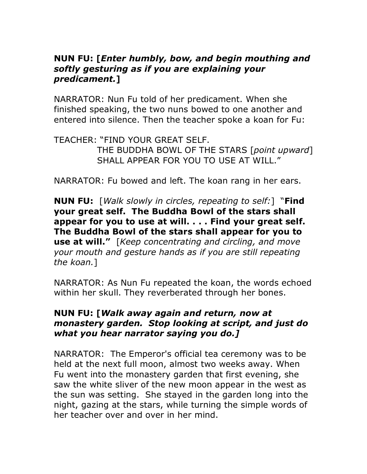## **NUN FU: [***Enter humbly, bow, and begin mouthing and softly gesturing as if you are explaining your predicament.***]**

NARRATOR: Nun Fu told of her predicament. When she finished speaking, the two nuns bowed to one another and entered into silence. Then the teacher spoke a koan for Fu:

TEACHER: "FIND YOUR GREAT SELF. THE BUDDHA BOWL OF THE STARS [*point upward*] SHALL APPEAR FOR YOU TO USE AT WILL."

NARRATOR: Fu bowed and left. The koan rang in her ears.

**NUN FU:** [*Walk slowly in circles, repeating to self:*] "**Find your great self. The Buddha Bowl of the stars shall appear for you to use at will. . . . Find your great self. The Buddha Bowl of the stars shall appear for you to use at will.**" [*Keep concentrating and circling, and move your mouth and gesture hands as if you are still repeating the koan.*]

NARRATOR: As Nun Fu repeated the koan, the words echoed within her skull. They reverberated through her bones.

## **NUN FU: [***Walk away again and return, now at monastery garden. Stop looking at script, and just do what you hear narrator saying you do.]*

NARRATOR: The Emperor's official tea ceremony was to be held at the next full moon, almost two weeks away. When Fu went into the monastery garden that first evening, she saw the white sliver of the new moon appear in the west as the sun was setting. She stayed in the garden long into the night, gazing at the stars, while turning the simple words of her teacher over and over in her mind.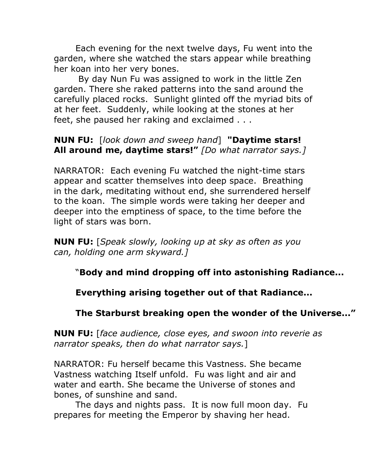Each evening for the next twelve days, Fu went into the garden, where she watched the stars appear while breathing her koan into her very bones.

 By day Nun Fu was assigned to work in the little Zen garden. There she raked patterns into the sand around the carefully placed rocks. Sunlight glinted off the myriad bits of at her feet. Suddenly, while looking at the stones at her feet, she paused her raking and exclaimed . . .

#### **NUN FU:** [*look down and sweep hand*] **"Daytime stars! All around me, daytime stars!î** *[Do what narrator says.]*

NARRATOR: Each evening Fu watched the night-time stars appear and scatter themselves into deep space. Breathing in the dark, meditating without end, she surrendered herself to the koan. The simple words were taking her deeper and deeper into the emptiness of space, to the time before the light of stars was born.

**NUN FU:** [*Speak slowly, looking up at sky as often as you can, holding one arm skyward.]*

## ì**Body and mind dropping off into astonishing Radiance...**

## **Everything arising together out of that Radiance...**

## The Starburst breaking open the wonder of the Universe...<sup>"</sup>

**NUN FU:** [*face audience, close eyes, and swoon into reverie as narrator speaks, then do what narrator says.*]

NARRATOR: Fu herself became this Vastness. She became Vastness watching Itself unfold. Fu was light and air and water and earth. She became the Universe of stones and bones, of sunshine and sand.

The days and nights pass. It is now full moon day. Fu prepares for meeting the Emperor by shaving her head.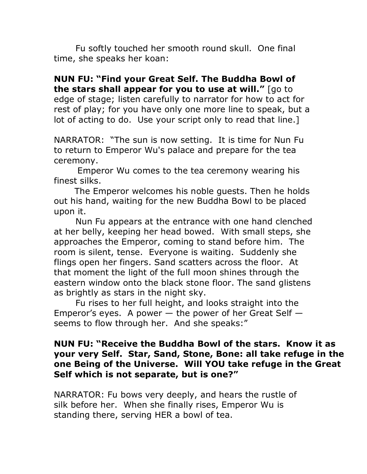Fu softly touched her smooth round skull. One final time, she speaks her koan:

**NUN FU: "Find your Great Self. The Buddha Bowl of the stars shall appear for you to use at will."** [go to edge of stage; listen carefully to narrator for how to act for rest of play; for you have only one more line to speak, but a lot of acting to do. Use your script only to read that line.]

NARRATOR: "The sun is now setting. It is time for Nun Fu to return to Emperor Wu's palace and prepare for the tea ceremony.

 Emperor Wu comes to the tea ceremony wearing his finest silks.

 The Emperor welcomes his noble guests. Then he holds out his hand, waiting for the new Buddha Bowl to be placed upon it.

Nun Fu appears at the entrance with one hand clenched at her belly, keeping her head bowed. With small steps, she approaches the Emperor, coming to stand before him. The room is silent, tense. Everyone is waiting. Suddenly she flings open her fingers. Sand scatters across the floor. At that moment the light of the full moon shines through the eastern window onto the black stone floor. The sand glistens as brightly as stars in the night sky.

Fu rises to her full height, and looks straight into the Emperor's eyes. A power  $-$  the power of her Great Self  $$ seems to flow through her. And she speaks:"

## **NUN FU: "Receive the Buddha Bowl of the stars. Know it as your very Self. Star, Sand, Stone, Bone: all take refuge in the one Being of the Universe. Will YOU take refuge in the Great**  Self which is not separate, but is one?"

NARRATOR: Fu bows very deeply, and hears the rustle of silk before her. When she finally rises, Emperor Wu is standing there, serving HER a bowl of tea.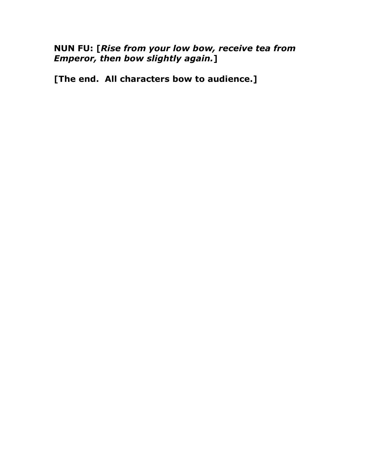**NUN FU: [***Rise from your low bow, receive tea from Emperor, then bow slightly again.***]** 

**[The end. All characters bow to audience.]**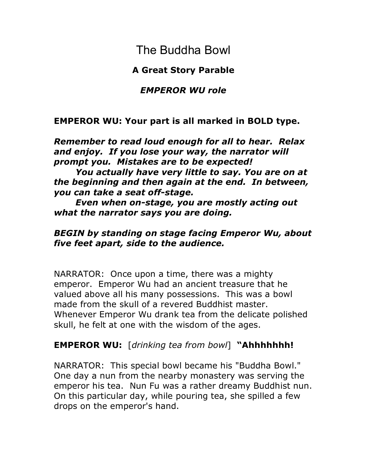## **A Great Story Parable**

## *EMPEROR WU role*

## **EMPEROR WU: Your part is all marked in BOLD type.**

*Remember to read loud enough for all to hear. Relax and enjoy. If you lose your way, the narrator will prompt you. Mistakes are to be expected!* 

*You actually have very little to say. You are on at the beginning and then again at the end. In between, you can take a seat off-stage.* 

*Even when on-stage, you are mostly acting out what the narrator says you are doing.* 

## *BEGIN by standing on stage facing Emperor Wu, about five feet apart, side to the audience.*

NARRATOR: Once upon a time, there was a mighty emperor. Emperor Wu had an ancient treasure that he valued above all his many possessions. This was a bowl made from the skull of a revered Buddhist master. Whenever Emperor Wu drank tea from the delicate polished skull, he felt at one with the wisdom of the ages.

## **EMPEROR WU:** [drinking tea from bowl] "Ahhhhhhh!

NARRATOR: This special bowl became his "Buddha Bowl." One day a nun from the nearby monastery was serving the emperor his tea. Nun Fu was a rather dreamy Buddhist nun. On this particular day, while pouring tea, she spilled a few drops on the emperor's hand.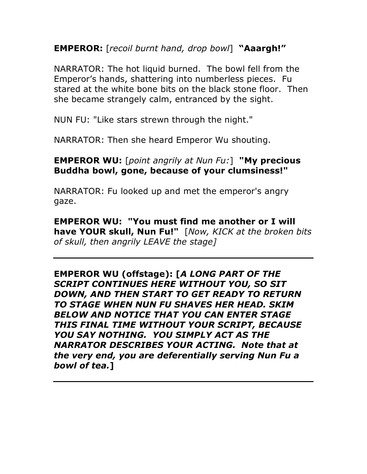**EMPEROR:** [*recoil burnt hand, drop bowl*] "Aaargh!"

NARRATOR: The hot liquid burned. The bowl fell from the Emperorís hands, shattering into numberless pieces. Fu stared at the white bone bits on the black stone floor. Then she became strangely calm, entranced by the sight.

NUN FU: "Like stars strewn through the night."

NARRATOR: Then she heard Emperor Wu shouting.

**EMPEROR WU:** [*point angrily at Nun Fu:*] **"My precious Buddha bowl, gone, because of your clumsiness!"** 

NARRATOR: Fu looked up and met the emperor's angry gaze.

**EMPEROR WU: "You must find me another or I will have YOUR skull, Nun Fu!"** [*Now, KICK at the broken bits of skull, then angrily LEAVE the stage]* 

**EMPEROR WU (offstage): [***A LONG PART OF THE SCRIPT CONTINUES HERE WITHOUT YOU, SO SIT DOWN, AND THEN START TO GET READY TO RETURN TO STAGE WHEN NUN FU SHAVES HER HEAD. SKIM BELOW AND NOTICE THAT YOU CAN ENTER STAGE THIS FINAL TIME WITHOUT YOUR SCRIPT, BECAUSE YOU SAY NOTHING. YOU SIMPLY ACT AS THE NARRATOR DESCRIBES YOUR ACTING. Note that at the very end, you are deferentially serving Nun Fu a bowl of tea.***]**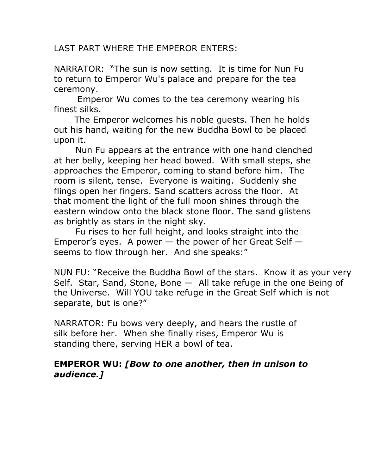LAST PART WHERE THE EMPEROR ENTERS:

NARRATOR: "The sun is now setting. It is time for Nun Fu to return to Emperor Wu's palace and prepare for the tea ceremony.

 Emperor Wu comes to the tea ceremony wearing his finest silks.

 The Emperor welcomes his noble guests. Then he holds out his hand, waiting for the new Buddha Bowl to be placed upon it.

Nun Fu appears at the entrance with one hand clenched at her belly, keeping her head bowed. With small steps, she approaches the Emperor, coming to stand before him. The room is silent, tense. Everyone is waiting. Suddenly she flings open her fingers. Sand scatters across the floor. At that moment the light of the full moon shines through the eastern window onto the black stone floor. The sand glistens as brightly as stars in the night sky.

Fu rises to her full height, and looks straight into the Emperor's eyes. A power  $-$  the power of her Great Self  $$ seems to flow through her. And she speaks:"

NUN FU: "Receive the Buddha Bowl of the stars. Know it as your very Self. Star, Sand, Stone, Bone  $-$  All take refuge in the one Being of the Universe. Will YOU take refuge in the Great Self which is not separate, but is one?"

NARRATOR: Fu bows very deeply, and hears the rustle of silk before her. When she finally rises, Emperor Wu is standing there, serving HER a bowl of tea.

## **EMPEROR WU:** *[Bow to one another, then in unison to audience.]*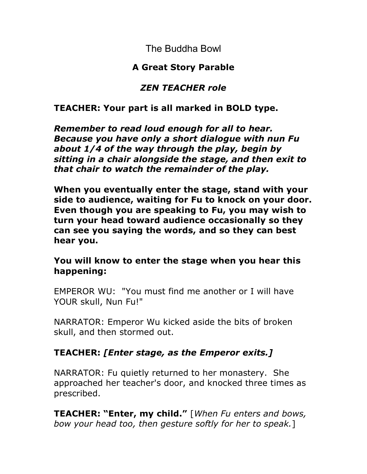## **A Great Story Parable**

## *ZEN TEACHER role*

## **TEACHER: Your part is all marked in BOLD type.**

*Remember to read loud enough for all to hear. Because you have only a short dialogue with nun Fu about 1/4 of the way through the play, begin by sitting in a chair alongside the stage, and then exit to that chair to watch the remainder of the play.* 

**When you eventually enter the stage, stand with your side to audience, waiting for Fu to knock on your door. Even though you are speaking to Fu, you may wish to turn your head toward audience occasionally so they can see you saying the words, and so they can best hear you.** 

## **You will know to enter the stage when you hear this happening:**

EMPEROR WU: "You must find me another or I will have YOUR skull, Nun Fu!"

NARRATOR: Emperor Wu kicked aside the bits of broken skull, and then stormed out.

## **TEACHER:** *[Enter stage, as the Emperor exits.]*

NARRATOR: Fu quietly returned to her monastery. She approached her teacher's door, and knocked three times as prescribed.

**TEACHER: "Enter, my child."** [When Fu enters and bows, *bow your head too, then gesture softly for her to speak.*]